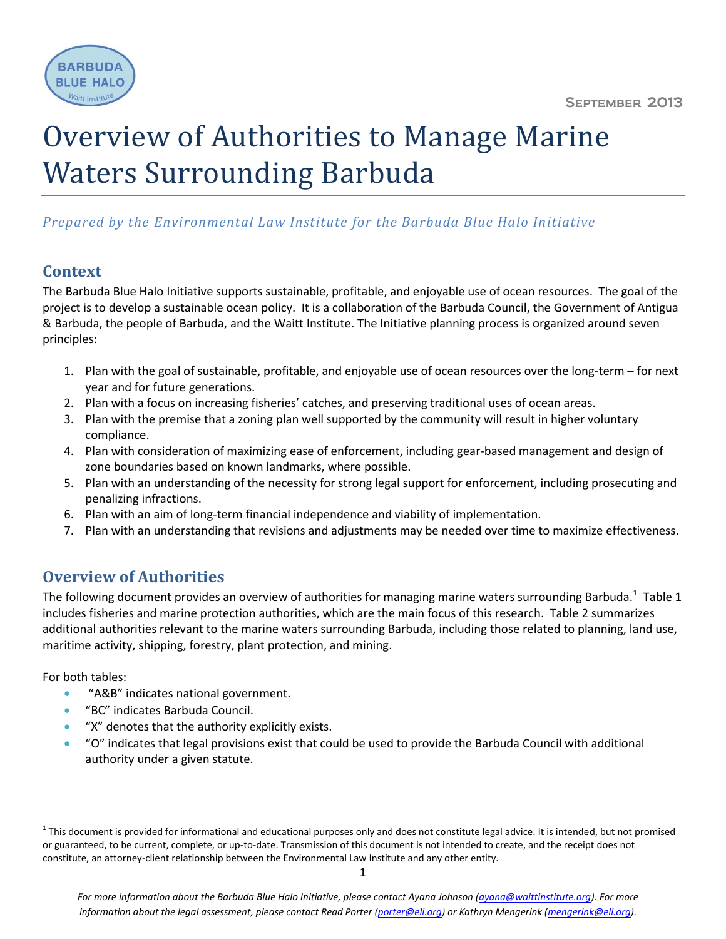

# Overview of Authorities to Manage Marine Waters Surrounding Barbuda

# *Prepared by the Environmental Law Institute for the Barbuda Blue Halo Initiative*

# **Context**

The Barbuda Blue Halo Initiative supports sustainable, profitable, and enjoyable use of ocean resources. The goal of the project is to develop a sustainable ocean policy. It is a collaboration of the Barbuda Council, the Government of Antigua & Barbuda, the people of Barbuda, and the Waitt Institute. The Initiative planning process is organized around seven principles:

- 1. Plan with the goal of sustainable, profitable, and enjoyable use of ocean resources over the long-term for next year and for future generations.
- 2. Plan with a focus on increasing fisheries' catches, and preserving traditional uses of ocean areas.
- 3. Plan with the premise that a zoning plan well supported by the community will result in higher voluntary compliance.
- 4. Plan with consideration of maximizing ease of enforcement, including gear-based management and design of zone boundaries based on known landmarks, where possible.
- 5. Plan with an understanding of the necessity for strong legal support for enforcement, including prosecuting and penalizing infractions.
- 6. Plan with an aim of long-term financial independence and viability of implementation.
- 7. Plan with an understanding that revisions and adjustments may be needed over time to maximize effectiveness.

# **Overview of Authorities**

The following document provides an overview of authorities for managing marine waters surrounding Barbuda.<sup>1</sup> Table 1 includes fisheries and marine protection authorities, which are the main focus of this research. Table 2 summarizes additional authorities relevant to the marine waters surrounding Barbuda, including those related to planning, land use, maritime activity, shipping, forestry, plant protection, and mining.

For both tables:

 $\overline{\phantom{a}}$ 

- "A&B" indicates national government.
- "BC" indicates Barbuda Council.
- "X" denotes that the authority explicitly exists.
- "O" indicates that legal provisions exist that could be used to provide the Barbuda Council with additional authority under a given statute.

 $^1$  This document is provided for informational and educational purposes only and does not constitute legal advice. It is intended, but not promised or guaranteed, to be current, complete, or up-to-date. Transmission of this document is not intended to create, and the receipt does not constitute, an attorney-client relationship between the Environmental Law Institute and any other entity.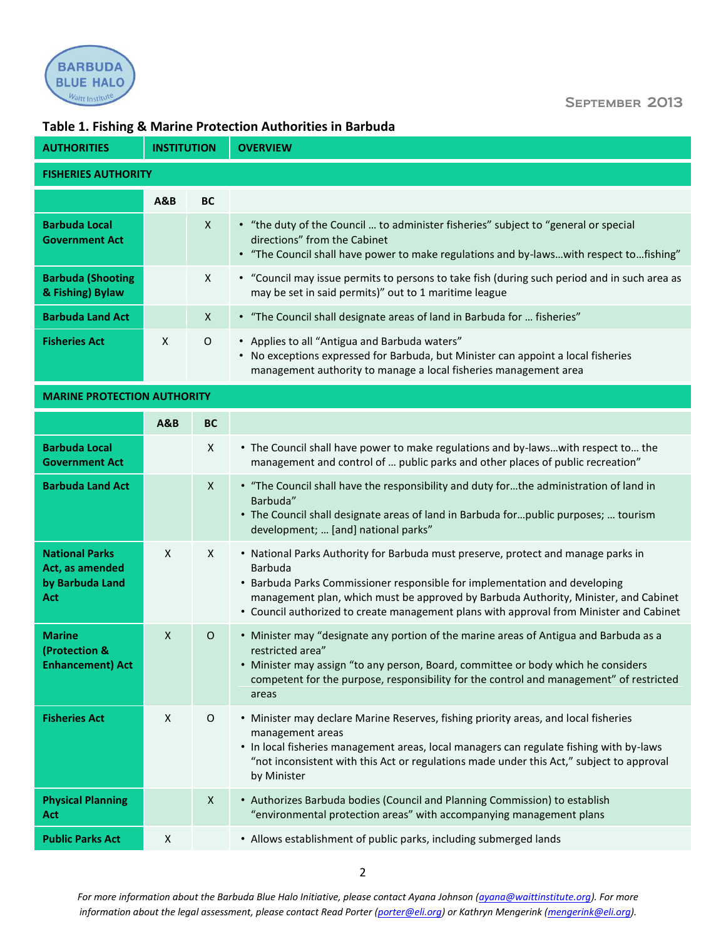

#### September 2013

## **Table 1. Fishing & Marine Protection Authorities in Barbuda**

| <b>AUTHORITIES</b>                            | <b>INSTITUTION</b> |              | <b>OVERVIEW</b>                                                                                                                                                                                                |  |  |  |  |
|-----------------------------------------------|--------------------|--------------|----------------------------------------------------------------------------------------------------------------------------------------------------------------------------------------------------------------|--|--|--|--|
| <b>FISHERIES AUTHORITY</b>                    |                    |              |                                                                                                                                                                                                                |  |  |  |  |
|                                               | A&B                | <b>BC</b>    |                                                                                                                                                                                                                |  |  |  |  |
| <b>Barbuda Local</b><br><b>Government Act</b> |                    | $\mathsf{x}$ | • "the duty of the Council  to administer fisheries" subject to "general or special"<br>directions" from the Cabinet<br>• "The Council shall have power to make regulations and by-lawswith respect tofishing" |  |  |  |  |
| <b>Barbuda (Shooting</b><br>& Fishing) Bylaw  |                    | $\mathsf{x}$ | • "Council may issue permits to persons to take fish (during such period and in such area as<br>may be set in said permits)" out to 1 maritime league                                                          |  |  |  |  |
| <b>Barbuda Land Act</b>                       |                    | $\mathsf{X}$ | • "The Council shall designate areas of land in Barbuda for  fisheries"                                                                                                                                        |  |  |  |  |
| <b>Fisheries Act</b>                          | X                  | 0            | • Applies to all "Antigua and Barbuda waters"<br>No exceptions expressed for Barbuda, but Minister can appoint a local fisheries<br>٠<br>management authority to manage a local fisheries management area      |  |  |  |  |

#### **MARINE PROTECTION AUTHORITY**

|                                                                    | <b>A&amp;B</b> | <b>BC</b>    |                                                                                                                                                                                                                                                                                                                                                              |
|--------------------------------------------------------------------|----------------|--------------|--------------------------------------------------------------------------------------------------------------------------------------------------------------------------------------------------------------------------------------------------------------------------------------------------------------------------------------------------------------|
| <b>Barbuda Local</b><br><b>Government Act</b>                      |                | X            | • The Council shall have power to make regulations and by-lawswith respect to the<br>management and control of  public parks and other places of public recreation"                                                                                                                                                                                          |
| <b>Barbuda Land Act</b>                                            |                | X            | • "The Council shall have the responsibility and duty forthe administration of land in<br>Barbuda"<br>• The Council shall designate areas of land in Barbuda forpublic purposes;  tourism<br>development;  [and] national parks"                                                                                                                             |
| <b>National Parks</b><br>Act, as amended<br>by Barbuda Land<br>Act | $\mathsf{X}$   | $\mathsf{X}$ | . National Parks Authority for Barbuda must preserve, protect and manage parks in<br>Barbuda<br>• Barbuda Parks Commissioner responsible for implementation and developing<br>management plan, which must be approved by Barbuda Authority, Minister, and Cabinet<br>• Council authorized to create management plans with approval from Minister and Cabinet |
| <b>Marine</b><br>(Protection &<br><b>Enhancement) Act</b>          | $\mathsf{x}$   | $\circ$      | • Minister may "designate any portion of the marine areas of Antigua and Barbuda as a<br>restricted area"<br>• Minister may assign "to any person, Board, committee or body which he considers<br>competent for the purpose, responsibility for the control and management" of restricted<br>areas                                                           |
| <b>Fisheries Act</b>                                               | X              | O            | • Minister may declare Marine Reserves, fishing priority areas, and local fisheries<br>management areas<br>• In local fisheries management areas, local managers can regulate fishing with by-laws<br>"not inconsistent with this Act or regulations made under this Act," subject to approval<br>by Minister                                                |
| <b>Physical Planning</b><br>Act                                    |                | X            | • Authorizes Barbuda bodies (Council and Planning Commission) to establish<br>"environmental protection areas" with accompanying management plans                                                                                                                                                                                                            |
| <b>Public Parks Act</b>                                            | X              |              | • Allows establishment of public parks, including submerged lands                                                                                                                                                                                                                                                                                            |

*For more information about the Barbuda Blue Halo Initiative, please contact Ayana Johnson [\(ayana@waittinstitute.org\)](mailto:ayana@waittinstitute.org). For more information about the legal assessment, please contact Read Porter [\(porter@eli.org\)](mailto:porter@eli.org) or Kathryn Mengerink [\(mengerink@eli.org\)](mailto:mengerink@eli.org).*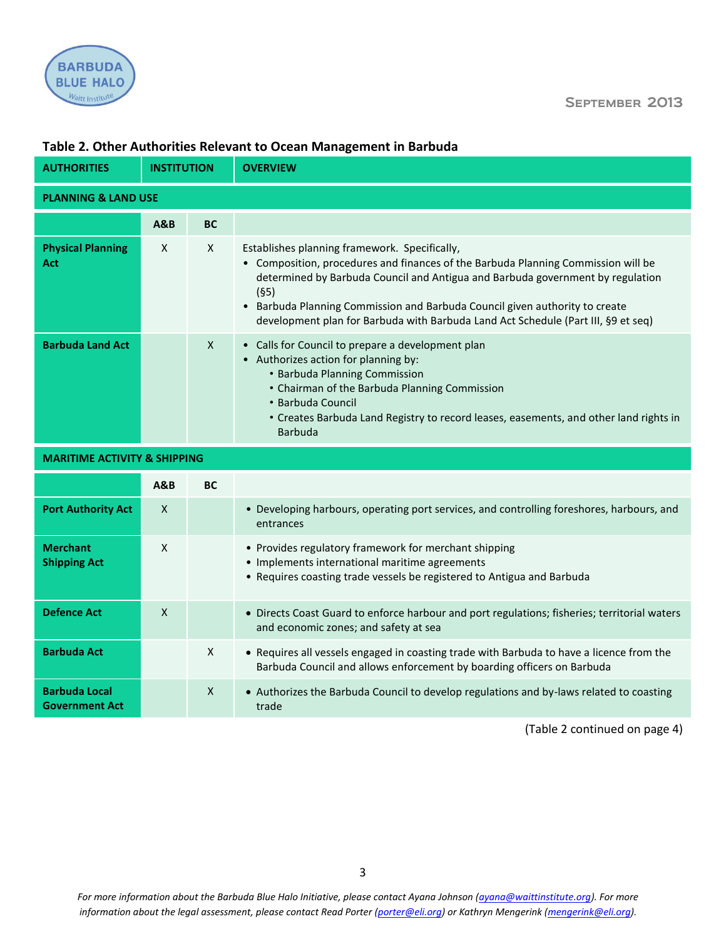



| <b>AUTHORITIES</b>                            | <b>INSTITUTION</b> |                | <b>OVERVIEW</b>                                                                                                                                                                                                                                                                                                                                                                              |  |  |  |  |
|-----------------------------------------------|--------------------|----------------|----------------------------------------------------------------------------------------------------------------------------------------------------------------------------------------------------------------------------------------------------------------------------------------------------------------------------------------------------------------------------------------------|--|--|--|--|
| <b>PLANNING &amp; LAND USE</b>                |                    |                |                                                                                                                                                                                                                                                                                                                                                                                              |  |  |  |  |
|                                               | <b>A&amp;B</b>     | <b>BC</b>      |                                                                                                                                                                                                                                                                                                                                                                                              |  |  |  |  |
| <b>Physical Planning</b><br>Act               | X                  | X              | Establishes planning framework. Specifically,<br>Composition, procedures and finances of the Barbuda Planning Commission will be<br>determined by Barbuda Council and Antigua and Barbuda government by regulation<br>(§5)<br>Barbuda Planning Commission and Barbuda Council given authority to create<br>development plan for Barbuda with Barbuda Land Act Schedule (Part III, §9 et seq) |  |  |  |  |
| <b>Barbuda Land Act</b>                       |                    | $\mathsf{X}$   | • Calls for Council to prepare a development plan<br>• Authorizes action for planning by:<br>• Barbuda Planning Commission<br>• Chairman of the Barbuda Planning Commission<br>• Barbuda Council<br>• Creates Barbuda Land Registry to record leases, easements, and other land rights in<br>Barbuda                                                                                         |  |  |  |  |
| <b>MARITIME ACTIVITY &amp; SHIPPING</b>       |                    |                |                                                                                                                                                                                                                                                                                                                                                                                              |  |  |  |  |
|                                               | <b>A&amp;B</b>     | <b>BC</b>      |                                                                                                                                                                                                                                                                                                                                                                                              |  |  |  |  |
| <b>Port Authority Act</b>                     | $\pmb{\mathsf{X}}$ |                | • Developing harbours, operating port services, and controlling foreshores, harbours, and<br>entrances                                                                                                                                                                                                                                                                                       |  |  |  |  |
| <b>Merchant</b><br><b>Shipping Act</b>        | X                  |                | • Provides regulatory framework for merchant shipping<br>• Implements international maritime agreements<br>• Requires coasting trade vessels be registered to Antigua and Barbuda                                                                                                                                                                                                            |  |  |  |  |
| <b>Defence Act</b>                            | $\pmb{\mathsf{X}}$ |                | • Directs Coast Guard to enforce harbour and port regulations; fisheries; territorial waters<br>and economic zones; and safety at sea                                                                                                                                                                                                                                                        |  |  |  |  |
| <b>Barbuda Act</b>                            |                    | $\pmb{\times}$ | • Requires all vessels engaged in coasting trade with Barbuda to have a licence from the<br>Barbuda Council and allows enforcement by boarding officers on Barbuda                                                                                                                                                                                                                           |  |  |  |  |
| <b>Barbuda Local</b><br><b>Government Act</b> |                    | X              | • Authorizes the Barbuda Council to develop regulations and by-laws related to coasting<br>trade                                                                                                                                                                                                                                                                                             |  |  |  |  |

## **Table 2. Other Authorities Relevant to Ocean Management in Barbuda**

(Table 2 continued on page 4)